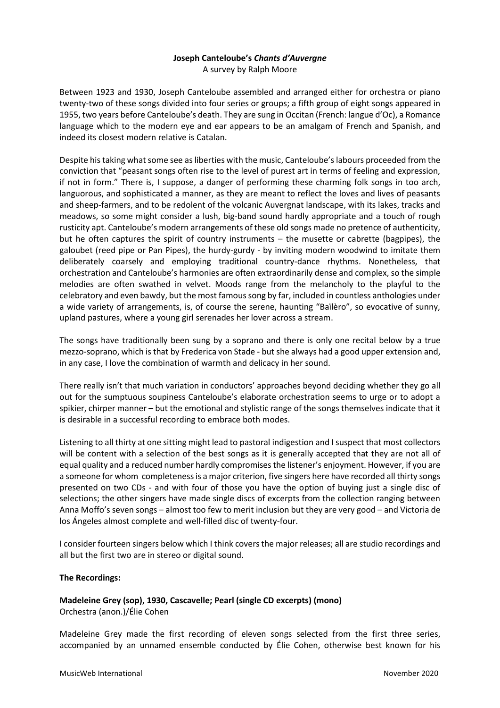# **Joseph Canteloube's** *Chants d'Auvergne*

A survey by Ralph Moore

Between 1923 and 1930, Joseph Canteloube assembled and arranged either for orchestra or piano twenty-two of these songs divided into four series or groups; a fifth group of eight songs appeared in 1955, two years before Canteloube's death. They are sung in Occitan (French: langue d'Oc), a Romance language which to the modern eye and ear appears to be an amalgam of French and Spanish, and indeed its closest modern relative is Catalan.

Despite his taking what some see as liberties with the music, Canteloube's labours proceeded from the conviction that "peasant songs often rise to the level of purest art in terms of feeling and expression, if not in form." There is, I suppose, a danger of performing these charming folk songs in too arch, languorous, and sophisticated a manner, as they are meant to reflect the loves and lives of peasants and sheep-farmers, and to be redolent of the volcanic Auvergnat landscape, with its lakes, tracks and meadows, so some might consider a lush, big-band sound hardly appropriate and a touch of rough rusticity apt. Canteloube's modern arrangements of these old songs made no pretence of authenticity, but he often captures the spirit of country instruments – the musette or cabrette (bagpipes), the galoubet (reed pipe or Pan Pipes), the hurdy-gurdy - by inviting modern woodwind to imitate them deliberately coarsely and employing traditional country-dance rhythms. Nonetheless, that orchestration and Canteloube's harmonies are often extraordinarily dense and complex, so the simple melodies are often swathed in velvet. Moods range from the melancholy to the playful to the celebratory and even bawdy, but the most famous song by far, included in countless anthologies under a wide variety of arrangements, is, of course the serene, haunting "Baïlèro", so evocative of sunny, upland pastures, where a young girl serenades her lover across a stream.

The songs have traditionally been sung by a soprano and there is only one recital below by a true mezzo-soprano, which is that by Frederica von Stade - but she always had a good upper extension and, in any case, I love the combination of warmth and delicacy in her sound.

There really isn't that much variation in conductors' approaches beyond deciding whether they go all out for the sumptuous soupiness Canteloube's elaborate orchestration seems to urge or to adopt a spikier, chirper manner – but the emotional and stylistic range of the songs themselves indicate that it is desirable in a successful recording to embrace both modes.

Listening to all thirty at one sitting might lead to pastoral indigestion and I suspect that most collectors will be content with a selection of the best songs as it is generally accepted that they are not all of equal quality and a reduced number hardly compromises the listener's enjoyment. However, if you are a someone for whom completeness is a major criterion, five singers here have recorded all thirty songs presented on two CDs - and with four of those you have the option of buying just a single disc of selections; the other singers have made single discs of excerpts from the collection ranging between Anna Moffo's seven songs – almost too few to merit inclusion but they are very good – and Victoria de los Ángeles almost complete and well-filled disc of twenty-four.

I consider fourteen singers below which I think covers the major releases; all are studio recordings and all but the first two are in stereo or digital sound.

#### **The Recordings:**

**Madeleine Grey (sop), 1930, Cascavelle; Pearl (single CD excerpts) (mono)** Orchestra (anon.)/Élie Cohen

Madeleine Grey made the first recording of eleven songs selected from the first three series, accompanied by an unnamed ensemble conducted by Élie Cohen, otherwise best known for his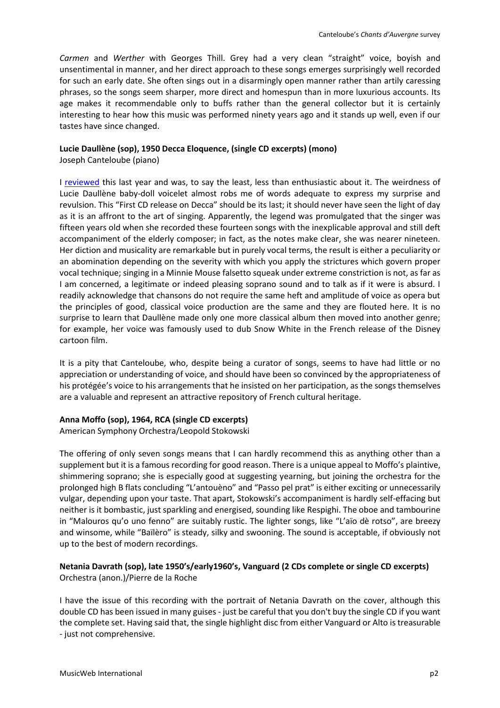*Carmen* and *Werther* with Georges Thill. Grey had a very clean "straight" voice, boyish and unsentimental in manner, and her direct approach to these songs emerges surprisingly well recorded for such an early date. She often sings out in a disarmingly open manner rather than artily caressing phrases, so the songs seem sharper, more direct and homespun than in more luxurious accounts. Its age makes it recommendable only to buffs rather than the general collector but it is certainly interesting to hear how this music was performed ninety years ago and it stands up well, even if our tastes have since changed.

#### **Lucie Daullène (sop), 1950 Decca Eloquence, (single CD excerpts) (mono)**

Joseph Canteloube (piano)

I [reviewed](http://www.musicweb-international.com/classrev/2019/Aug/Berlioz_nuits_4828586.html) this last year and was, to say the least, less than enthusiastic about it. The weirdness of Lucie Daullène baby-doll voicelet almost robs me of words adequate to express my surprise and revulsion. This "First CD release on Decca" should be its last; it should never have seen the light of day as it is an affront to the art of singing. Apparently, the legend was promulgated that the singer was fifteen years old when she recorded these fourteen songs with the inexplicable approval and still deft accompaniment of the elderly composer; in fact, as the notes make clear, she was nearer nineteen. Her diction and musicality are remarkable but in purely vocal terms, the result is either a peculiarity or an abomination depending on the severity with which you apply the strictures which govern proper vocal technique; singing in a Minnie Mouse falsetto squeak under extreme constriction is not, as far as I am concerned, a legitimate or indeed pleasing soprano sound and to talk as if it were is absurd. I readily acknowledge that chansons do not require the same heft and amplitude of voice as opera but the principles of good, classical voice production are the same and they are flouted here. It is no surprise to learn that Daullène made only one more classical album then moved into another genre; for example, her voice was famously used to dub Snow White in the French release of the Disney cartoon film.

It is a pity that Canteloube, who, despite being a curator of songs, seems to have had little or no appreciation or understanding of voice, and should have been so convinced by the appropriateness of his protégée's voice to his arrangements that he insisted on her participation, as the songs themselves are a valuable and represent an attractive repository of French cultural heritage.

#### **Anna Moffo (sop), 1964, RCA (single CD excerpts)**

American Symphony Orchestra/Leopold Stokowski

The offering of only seven songs means that I can hardly recommend this as anything other than a supplement but it is a famous recording for good reason. There is a unique appeal to Moffo's plaintive, shimmering soprano; she is especially good at suggesting yearning, but joining the orchestra for the prolonged high B flats concluding "L'antouèno" and "Passo pel prat" is either exciting or unnecessarily vulgar, depending upon your taste. That apart, Stokowski's accompaniment is hardly self-effacing but neither is it bombastic, just sparkling and energised, sounding like Respighi. The oboe and tambourine in "Malouros qu'o uno fenno" are suitably rustic. The lighter songs, like "L'aïo dè rotso", are breezy and winsome, while "Baïlèro" is steady, silky and swooning. The sound is acceptable, if obviously not up to the best of modern recordings.

### **Netania Davrath (sop), late 1950's/early1960's, Vanguard (2 CDs complete or single CD excerpts)** Orchestra (anon.)/Pierre de la Roche

I have the issue of this recording with the portrait of Netania Davrath on the cover, although this double CD has been issued in many guises - just be careful that you don't buy the single CD if you want the complete set. Having said that, the single highlight disc from either Vanguard or Alto is treasurable - just not comprehensive.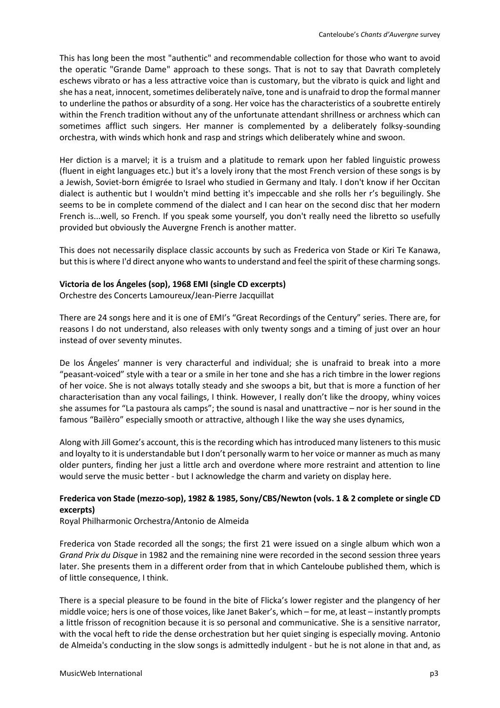This has long been the most "authentic" and recommendable collection for those who want to avoid the operatic "Grande Dame" approach to these songs. That is not to say that Davrath completely eschews vibrato or has a less attractive voice than is customary, but the vibrato is quick and light and she has a neat, innocent, sometimes deliberately naïve, tone and is unafraid to drop the formal manner to underline the pathos or absurdity of a song. Her voice has the characteristics of a soubrette entirely within the French tradition without any of the unfortunate attendant shrillness or archness which can sometimes afflict such singers. Her manner is complemented by a deliberately folksy-sounding orchestra, with winds which honk and rasp and strings which deliberately whine and swoon.

Her diction is a marvel; it is a truism and a platitude to remark upon her fabled linguistic prowess (fluent in eight languages etc.) but it's a lovely irony that the most French version of these songs is by a Jewish, Soviet-born émigrée to Israel who studied in Germany and Italy. I don't know if her Occitan dialect is authentic but I wouldn't mind betting it's impeccable and she rolls her r's beguilingly. She seems to be in complete commend of the dialect and I can hear on the second disc that her modern French is...well, so French. If you speak some yourself, you don't really need the libretto so usefully provided but obviously the Auvergne French is another matter.

This does not necessarily displace classic accounts by such as Frederica von Stade or Kiri Te Kanawa, but this is where I'd direct anyone who wants to understand and feel the spirit of these charming songs.

#### **Victoria de los Ángeles (sop), 1968 EMI (single CD excerpts)**

Orchestre des Concerts Lamoureux/Jean-Pierre Jacquillat

There are 24 songs here and it is one of EMI's "Great Recordings of the Century" series. There are, for reasons I do not understand, also releases with only twenty songs and a timing of just over an hour instead of over seventy minutes.

De los Ángeles' manner is very characterful and individual; she is unafraid to break into a more "peasant-voiced" style with a tear or a smile in her tone and she has a rich timbre in the lower regions of her voice. She is not always totally steady and she swoops a bit, but that is more a function of her characterisation than any vocal failings, I think. However, I really don't like the droopy, whiny voices she assumes for "La pastoura als camps"; the sound is nasal and unattractive – nor is her sound in the famous "Baïlèro" especially smooth or attractive, although I like the way she uses dynamics,

Along with Jill Gomez's account, this is the recording which has introduced many listeners to this music and loyalty to it is understandable but I don't personally warm to her voice or manner as much as many older punters, finding her just a little arch and overdone where more restraint and attention to line would serve the music better - but I acknowledge the charm and variety on display here.

## **Frederica von Stade (mezzo-sop), 1982 & 1985, Sony/CBS/Newton (vols. 1 & 2 complete or single CD excerpts)**

Royal Philharmonic Orchestra/Antonio de Almeida

Frederica von Stade recorded all the songs; the first 21 were issued on a single album which won a *Grand Prix du Disque* in 1982 and the remaining nine were recorded in the second session three years later. She presents them in a different order from that in which Canteloube published them, which is of little consequence, I think.

There is a special pleasure to be found in the bite of Flicka's lower register and the plangency of her middle voice; hers is one of those voices, like Janet Baker's, which – for me, at least – instantly prompts a little frisson of recognition because it is so personal and communicative. She is a sensitive narrator, with the vocal heft to ride the dense orchestration but her quiet singing is especially moving. Antonio de Almeida's conducting in the slow songs is admittedly indulgent - but he is not alone in that and, as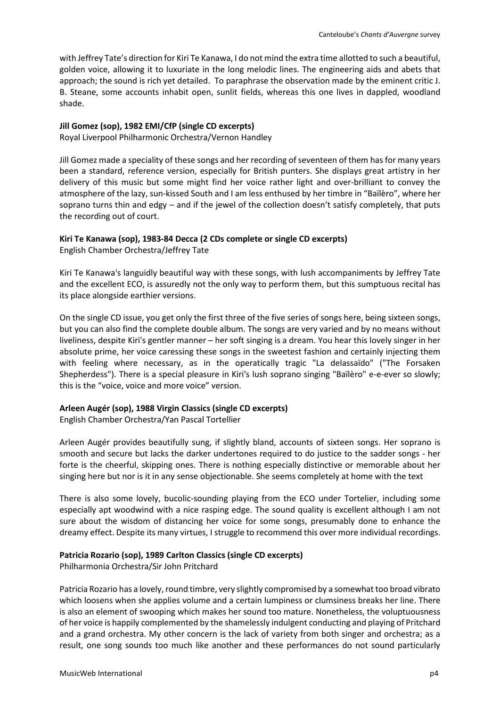with Jeffrey Tate's direction for Kiri Te Kanawa, I do not mind the extra time allotted to such a beautiful, golden voice, allowing it to luxuriate in the long melodic lines. The engineering aids and abets that approach; the sound is rich yet detailed. To paraphrase the observation made by the eminent critic J. B. Steane, some accounts inhabit open, sunlit fields, whereas this one lives in dappled, woodland shade.

#### **Jill Gomez (sop), 1982 EMI/CfP (single CD excerpts)**

Royal Liverpool Philharmonic Orchestra/Vernon Handley

Jill Gomez made a speciality of these songs and her recording of seventeen of them has for many years been a standard, reference version, especially for British punters. She displays great artistry in her delivery of this music but some might find her voice rather light and over-brilliant to convey the atmosphere of the lazy, sun-kissed South and I am less enthused by her timbre in "Baïlèro", where her soprano turns thin and edgy – and if the jewel of the collection doesn't satisfy completely, that puts the recording out of court.

#### **Kiri Te Kanawa (sop), 1983-84 Decca (2 CDs complete or single CD excerpts)**

English Chamber Orchestra/Jeffrey Tate

Kiri Te Kanawa's languidly beautiful way with these songs, with lush accompaniments by Jeffrey Tate and the excellent ECO, is assuredly not the only way to perform them, but this sumptuous recital has its place alongside earthier versions.

On the single CD issue, you get only the first three of the five series of songs here, being sixteen songs, but you can also find the complete double album. The songs are very varied and by no means without liveliness, despite Kiri's gentler manner – her soft singing is a dream. You hear this lovely singer in her absolute prime, her voice caressing these songs in the sweetest fashion and certainly injecting them with feeling where necessary, as in the operatically tragic "La delassaïdo" ("The Forsaken Shepherdess"). There is a special pleasure in Kiri's lush soprano singing "Baïlèro" e-e-ever so slowly; this is the "voice, voice and more voice" version.

#### **Arleen Augér (sop), 1988 Virgin Classics (single CD excerpts)**

English Chamber Orchestra/Yan Pascal Tortellier

Arleen Augér provides beautifully sung, if slightly bland, accounts of sixteen songs. Her soprano is smooth and secure but lacks the darker undertones required to do justice to the sadder songs - her forte is the cheerful, skipping ones. There is nothing especially distinctive or memorable about her singing here but nor is it in any sense objectionable. She seems completely at home with the text

There is also some lovely, bucolic-sounding playing from the ECO under Tortelier, including some especially apt woodwind with a nice rasping edge. The sound quality is excellent although I am not sure about the wisdom of distancing her voice for some songs, presumably done to enhance the dreamy effect. Despite its many virtues, I struggle to recommend this over more individual recordings.

#### **Patricia Rozario (sop), 1989 Carlton Classics (single CD excerpts)**

Philharmonia Orchestra/Sir John Pritchard

Patricia Rozario has a lovely, round timbre, very slightly compromised by a somewhat too broad vibrato which loosens when she applies volume and a certain lumpiness or clumsiness breaks her line. There is also an element of swooping which makes her sound too mature. Nonetheless, the voluptuousness of her voice is happily complemented by the shamelessly indulgent conducting and playing of Pritchard and a grand orchestra. My other concern is the lack of variety from both singer and orchestra; as a result, one song sounds too much like another and these performances do not sound particularly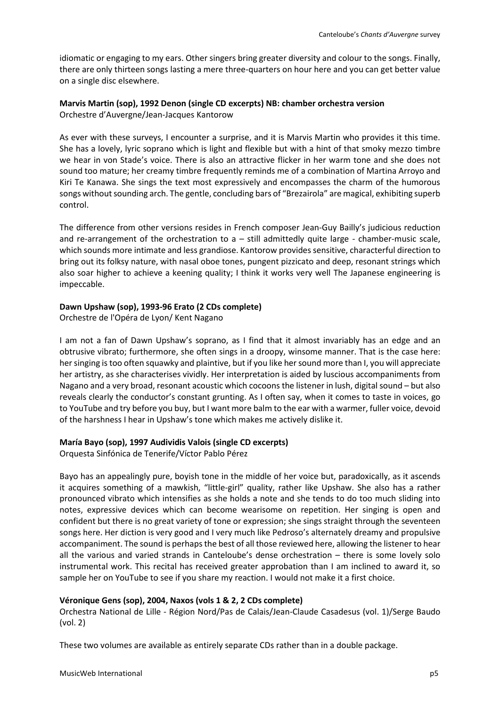idiomatic or engaging to my ears. Other singers bring greater diversity and colour to the songs. Finally, there are only thirteen songs lasting a mere three-quarters on hour here and you can get better value on a single disc elsewhere.

#### **Marvis Martin (sop), 1992 Denon (single CD excerpts) NB: chamber orchestra version** Orchestre d'Auvergne/Jean-Jacques Kantorow

As ever with these surveys, I encounter a surprise, and it is Marvis Martin who provides it this time. She has a lovely, lyric soprano which is light and flexible but with a hint of that smoky mezzo timbre we hear in von Stade's voice. There is also an attractive flicker in her warm tone and she does not sound too mature; her creamy timbre frequently reminds me of a combination of Martina Arroyo and Kiri Te Kanawa. She sings the text most expressively and encompasses the charm of the humorous songs without sounding arch. The gentle, concluding bars of "Brezairola" are magical, exhibiting superb control.

The difference from other versions resides in French composer Jean-Guy Bailly's judicious reduction and re-arrangement of the orchestration to  $a$  – still admittedly quite large - chamber-music scale, which sounds more intimate and less grandiose. Kantorow provides sensitive, characterful direction to bring out its folksy nature, with nasal oboe tones, pungent pizzicato and deep, resonant strings which also soar higher to achieve a keening quality; I think it works very well The Japanese engineering is impeccable.

#### **Dawn Upshaw (sop), 1993-96 Erato (2 CDs complete)**

Orchestre de l'Opéra de Lyon/ Kent Nagano

I am not a fan of Dawn Upshaw's soprano, as I find that it almost invariably has an edge and an obtrusive vibrato; furthermore, she often sings in a droopy, winsome manner. That is the case here: her singing is too often squawky and plaintive, but if you like her sound more than I, you will appreciate her artistry, as she characterises vividly. Her interpretation is aided by luscious accompaniments from Nagano and a very broad, resonant acoustic which cocoons the listener in lush, digital sound – but also reveals clearly the conductor's constant grunting. As I often say, when it comes to taste in voices, go to YouTube and try before you buy, but I want more balm to the ear with a warmer, fuller voice, devoid of the harshness I hear in Upshaw's tone which makes me actively dislike it.

#### **María Bayo (sop), 1997 Audividis Valois (single CD excerpts)**

Orquesta Sinfónica de Tenerife/Víctor Pablo Pérez

Bayo has an appealingly pure, boyish tone in the middle of her voice but, paradoxically, as it ascends it acquires something of a mawkish, "little-girl" quality, rather like Upshaw. She also has a rather pronounced vibrato which intensifies as she holds a note and she tends to do too much sliding into notes, expressive devices which can become wearisome on repetition. Her singing is open and confident but there is no great variety of tone or expression; she sings straight through the seventeen songs here. Her diction is very good and I very much like Pedroso's alternately dreamy and propulsive accompaniment. The sound is perhaps the best of all those reviewed here, allowing the listener to hear all the various and varied strands in Canteloube's dense orchestration – there is some lovely solo instrumental work. This recital has received greater approbation than I am inclined to award it, so sample her on YouTube to see if you share my reaction. I would not make it a first choice.

#### **Véronique Gens (sop), 2004, Naxos (vols 1 & 2, 2 CDs complete)**

Orchestra National de Lille - Région Nord/Pas de Calais/Jean-Claude Casadesus (vol. 1)/Serge Baudo (vol. 2)

These two volumes are available as entirely separate CDs rather than in a double package.